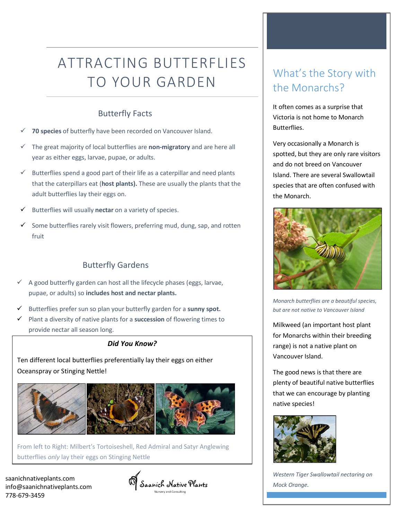# ATTRACTING BUTTERFLIES TO YOUR GARDEN

### Butterfly Facts

- 70 species of butterfly have been recorded on Vancouver Island.
- ✓ The great majority of local butterflies are **non-migratory** and are here all year as either eggs, larvae, pupae, or adults.
- $\checkmark$  Butterflies spend a good part of their life as a caterpillar and need plants that the caterpillars eat (**host plants).** These are usually the plants that the adult butterflies lay their eggs on.
- Butterflies will usually nectar on a variety of species.
- Some butterflies rarely visit flowers, preferring mud, dung, sap, and rotten fruit

### Butterfly Gardens

- $\checkmark$  A good butterfly garden can host all the lifecycle phases (eggs, larvae, pupae, or adults) so **includes host and nectar plants.**
- ✓ Butterflies prefer sun so plan your butterfly garden for a **sunny spot.**
- ✓ Plant a diversity of native plants for a **succession** of flowering times to provide nectar all season long.

#### *Did You Know?*

Ten different local butterflies preferentially lay their eggs on either Oceanspray or Stinging Nettle!



From left to Right: Milbert's Tortoiseshell, Red Admiral and Satyr Anglewing butterflies *only* lay their eggs on Stinging Nettle

saanichnativeplants.com info@saanichnativeplants.com 778-679-3459



## What's the Story with the Monarchs?

It often comes as a surprise that Victoria is not home to Monarch Butterflies.

Very occasionally a Monarch is spotted, but they are only rare visitors and do not breed on Vancouver Island. There are several Swallowtail species that are often confused with the Monarch.



*Monarch butterflies are a beautiful species, but are not native to Vancouver Island*

Milkweed (an important host plant for Monarchs within their breeding range) is not a native plant on Vancouver Island.

The good news is that there are plenty of beautiful native butterflies that we can encourage by planting native species!



*Western Tiger Swallowtail nectaring on Mock Orange.*